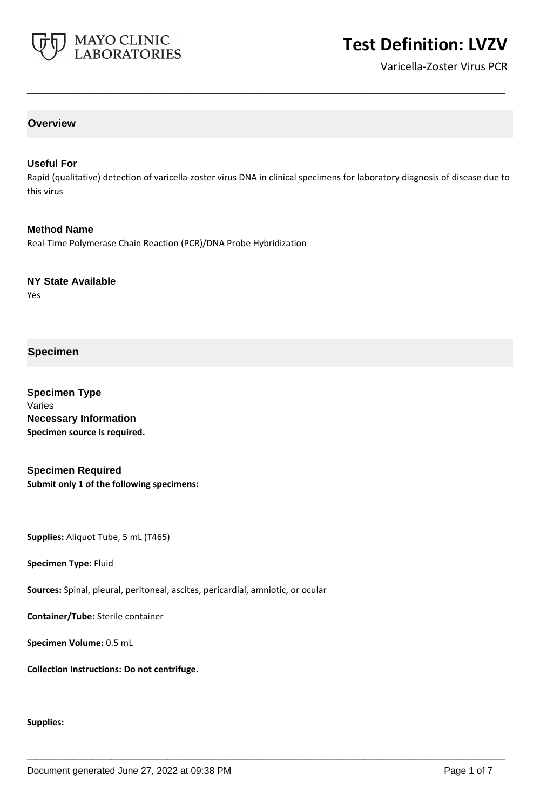

# **Test Definition: LVZV**

Varicella-Zoster Virus PCR

# **Overview**

#### **Useful For**

Rapid (qualitative) detection of varicella-zoster virus DNA in clinical specimens for laboratory diagnosis of disease due to this virus

**\_\_\_\_\_\_\_\_\_\_\_\_\_\_\_\_\_\_\_\_\_\_\_\_\_\_\_\_\_\_\_\_\_\_\_\_\_\_\_\_\_\_\_\_\_\_\_\_\_\_\_**

**\_\_\_\_\_\_\_\_\_\_\_\_\_\_\_\_\_\_\_\_\_\_\_\_\_\_\_\_\_\_\_\_\_\_\_\_\_\_\_\_\_\_\_\_\_\_\_\_\_\_\_**

**Method Name** Real-Time Polymerase Chain Reaction (PCR)/DNA Probe Hybridization

**NY State Available**

Yes

# **Specimen**

**Specimen Type** Varies **Necessary Information Specimen source is required.**

**Specimen Required Submit only 1 of the following specimens:**

**Supplies:** Aliquot Tube, 5 mL (T465)

**Specimen Type:** Fluid

**Sources:** Spinal, pleural, peritoneal, ascites, pericardial, amniotic, or ocular

**Container/Tube:** Sterile container

**Specimen Volume:** 0.5 mL

**Collection Instructions: Do not centrifuge.**

#### **Supplies:**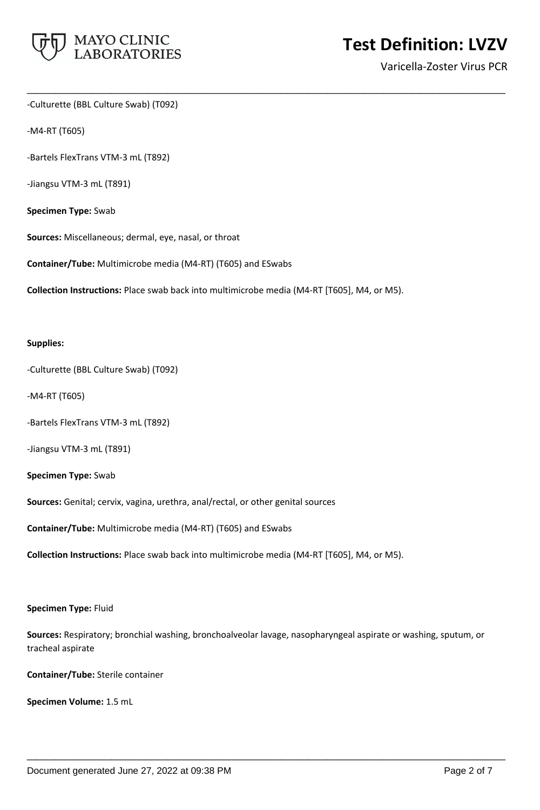

-Culturette (BBL Culture Swab) (T092)

-M4-RT (T605)

-Bartels FlexTrans VTM-3 mL (T892)

-Jiangsu VTM-3 mL (T891)

**Specimen Type:** Swab

**Sources:** Miscellaneous; dermal, eye, nasal, or throat

**Container/Tube:** Multimicrobe media (M4-RT) (T605) and ESwabs

**Collection Instructions:** Place swab back into multimicrobe media (M4-RT [T605], M4, or M5).

**\_\_\_\_\_\_\_\_\_\_\_\_\_\_\_\_\_\_\_\_\_\_\_\_\_\_\_\_\_\_\_\_\_\_\_\_\_\_\_\_\_\_\_\_\_\_\_\_\_\_\_**

#### **Supplies:**

-Culturette (BBL Culture Swab) (T092)

-M4-RT (T605)

-Bartels FlexTrans VTM-3 mL (T892)

-Jiangsu VTM-3 mL (T891)

**Specimen Type:** Swab

**Sources:** Genital; cervix, vagina, urethra, anal/rectal, or other genital sources

**Container/Tube:** Multimicrobe media (M4-RT) (T605) and ESwabs

**Collection Instructions:** Place swab back into multimicrobe media (M4-RT [T605], M4, or M5).

#### **Specimen Type:** Fluid

**Sources:** Respiratory; bronchial washing, bronchoalveolar lavage, nasopharyngeal aspirate or washing, sputum, or tracheal aspirate

**\_\_\_\_\_\_\_\_\_\_\_\_\_\_\_\_\_\_\_\_\_\_\_\_\_\_\_\_\_\_\_\_\_\_\_\_\_\_\_\_\_\_\_\_\_\_\_\_\_\_\_**

**Container/Tube:** Sterile container

**Specimen Volume:** 1.5 mL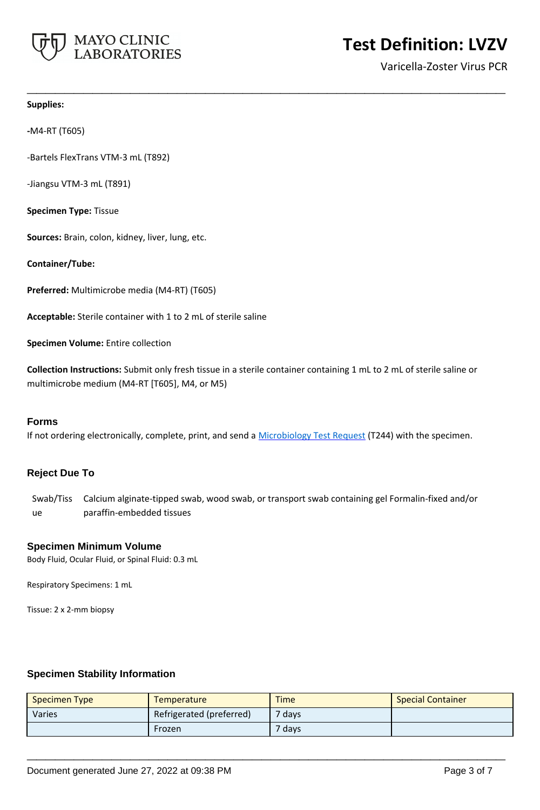

#### **Supplies:**

**-**M4-RT (T605)

-Bartels FlexTrans VTM-3 mL (T892)

-Jiangsu VTM-3 mL (T891)

**Specimen Type:** Tissue

**Sources:** Brain, colon, kidney, liver, lung, etc.

**Container/Tube:**

**Preferred:** Multimicrobe media (M4-RT) (T605)

**Acceptable:** Sterile container with 1 to 2 mL of sterile saline

**Specimen Volume:** Entire collection

**Collection Instructions:** Submit only fresh tissue in a sterile container containing 1 mL to 2 mL of sterile saline or multimicrobe medium (M4-RT [T605], M4, or M5)

**\_\_\_\_\_\_\_\_\_\_\_\_\_\_\_\_\_\_\_\_\_\_\_\_\_\_\_\_\_\_\_\_\_\_\_\_\_\_\_\_\_\_\_\_\_\_\_\_\_\_\_**

#### **Forms**

If not ordering electronically, complete, print, and send a [Microbiology Test Request](https://www.mayocliniclabs.com/it-mmfiles/Microbiology_Test_Request_Form.pdf) (T244) with the specimen.

## **Reject Due To**

Swab/Tiss Calcium alginate-tipped swab, wood swab, or transport swab containing gel Formalin-fixed and/or ue paraffin-embedded tissues

#### **Specimen Minimum Volume**

Body Fluid, Ocular Fluid, or Spinal Fluid: 0.3 mL

Respiratory Specimens: 1 mL

Tissue: 2 x 2-mm biopsy

## **Specimen Stability Information**

| <b>Specimen Type</b> | <b>Temperature</b>       | <b>Time</b>       | <b>Special Container</b> |
|----------------------|--------------------------|-------------------|--------------------------|
| Varies               | Refrigerated (preferred) | <sup>7</sup> days |                          |
|                      | Frozen                   | <sup>7</sup> days |                          |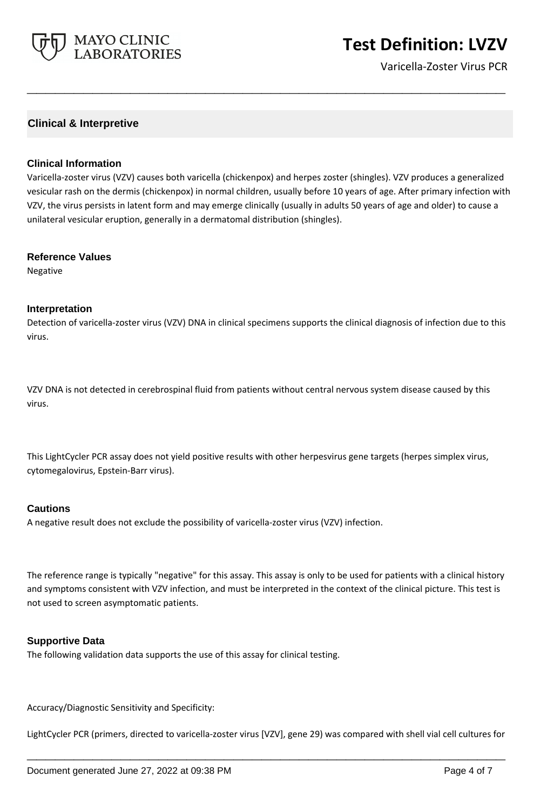

# **Test Definition: LVZV**

Varicella-Zoster Virus PCR

# **Clinical & Interpretive**

#### **Clinical Information**

Varicella-zoster virus (VZV) causes both varicella (chickenpox) and herpes zoster (shingles). VZV produces a generalized vesicular rash on the dermis (chickenpox) in normal children, usually before 10 years of age. After primary infection with VZV, the virus persists in latent form and may emerge clinically (usually in adults 50 years of age and older) to cause a unilateral vesicular eruption, generally in a dermatomal distribution (shingles).

**\_\_\_\_\_\_\_\_\_\_\_\_\_\_\_\_\_\_\_\_\_\_\_\_\_\_\_\_\_\_\_\_\_\_\_\_\_\_\_\_\_\_\_\_\_\_\_\_\_\_\_**

#### **Reference Values**

Negative

#### **Interpretation**

Detection of varicella-zoster virus (VZV) DNA in clinical specimens supports the clinical diagnosis of infection due to this virus.

VZV DNA is not detected in cerebrospinal fluid from patients without central nervous system disease caused by this virus.

This LightCycler PCR assay does not yield positive results with other herpesvirus gene targets (herpes simplex virus, cytomegalovirus, Epstein-Barr virus).

#### **Cautions**

A negative result does not exclude the possibility of varicella-zoster virus (VZV) infection.

The reference range is typically "negative" for this assay. This assay is only to be used for patients with a clinical history and symptoms consistent with VZV infection, and must be interpreted in the context of the clinical picture. This test is not used to screen asymptomatic patients.

## **Supportive Data**

The following validation data supports the use of this assay for clinical testing.

Accuracy/Diagnostic Sensitivity and Specificity:

LightCycler PCR (primers, directed to varicella-zoster virus [VZV], gene 29) was compared with shell vial cell cultures for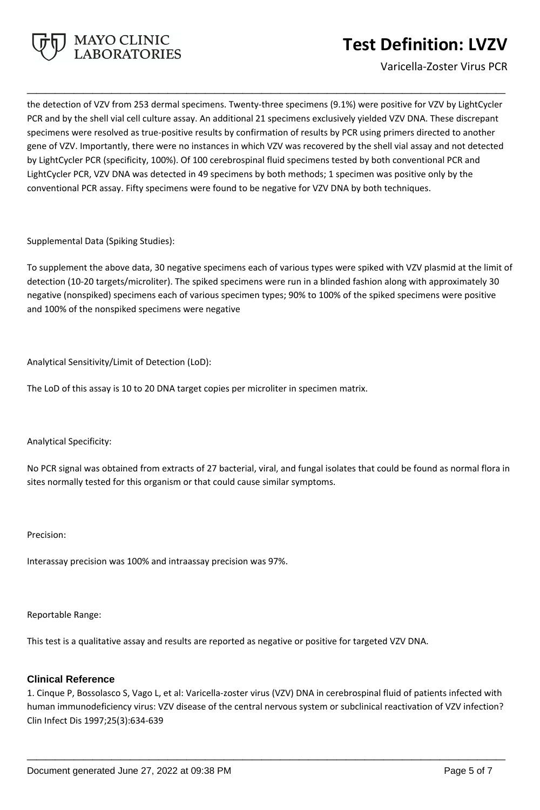

# **Test Definition: LVZV**

Varicella-Zoster Virus PCR

the detection of VZV from 253 dermal specimens. Twenty-three specimens (9.1%) were positive for VZV by LightCycler PCR and by the shell vial cell culture assay. An additional 21 specimens exclusively yielded VZV DNA. These discrepant specimens were resolved as true-positive results by confirmation of results by PCR using primers directed to another gene of VZV. Importantly, there were no instances in which VZV was recovered by the shell vial assay and not detected by LightCycler PCR (specificity, 100%). Of 100 cerebrospinal fluid specimens tested by both conventional PCR and LightCycler PCR, VZV DNA was detected in 49 specimens by both methods; 1 specimen was positive only by the conventional PCR assay. Fifty specimens were found to be negative for VZV DNA by both techniques.

**\_\_\_\_\_\_\_\_\_\_\_\_\_\_\_\_\_\_\_\_\_\_\_\_\_\_\_\_\_\_\_\_\_\_\_\_\_\_\_\_\_\_\_\_\_\_\_\_\_\_\_**

Supplemental Data (Spiking Studies):

To supplement the above data, 30 negative specimens each of various types were spiked with VZV plasmid at the limit of detection (10-20 targets/microliter). The spiked specimens were run in a blinded fashion along with approximately 30 negative (nonspiked) specimens each of various specimen types; 90% to 100% of the spiked specimens were positive and 100% of the nonspiked specimens were negative

Analytical Sensitivity/Limit of Detection (LoD):

The LoD of this assay is 10 to 20 DNA target copies per microliter in specimen matrix.

Analytical Specificity:

No PCR signal was obtained from extracts of 27 bacterial, viral, and fungal isolates that could be found as normal flora in sites normally tested for this organism or that could cause similar symptoms.

Precision:

Interassay precision was 100% and intraassay precision was 97%.

Reportable Range:

This test is a qualitative assay and results are reported as negative or positive for targeted VZV DNA.

## **Clinical Reference**

1. Cinque P, Bossolasco S, Vago L, et al: Varicella-zoster virus (VZV) DNA in cerebrospinal fluid of patients infected with human immunodeficiency virus: VZV disease of the central nervous system or subclinical reactivation of VZV infection? Clin Infect Dis 1997;25(3):634-639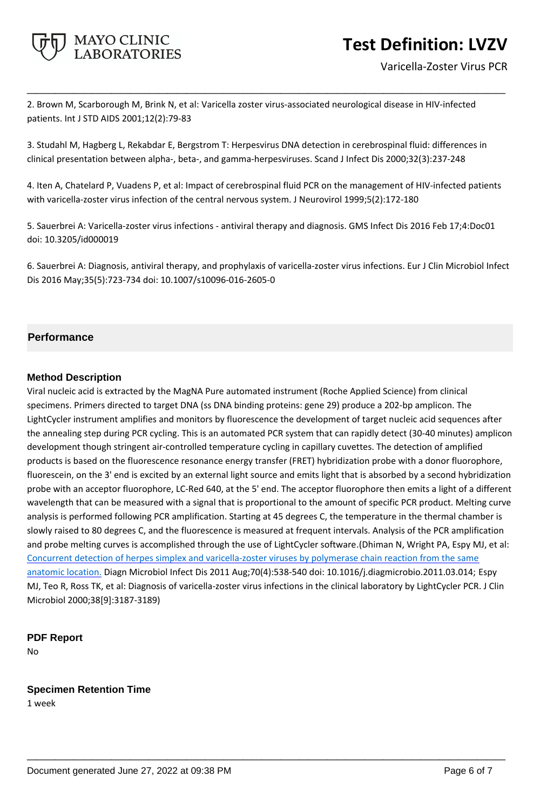

Varicella-Zoster Virus PCR

2. Brown M, Scarborough M, Brink N, et al: Varicella zoster virus-associated neurological disease in HIV-infected patients. Int J STD AIDS 2001;12(2):79-83

**\_\_\_\_\_\_\_\_\_\_\_\_\_\_\_\_\_\_\_\_\_\_\_\_\_\_\_\_\_\_\_\_\_\_\_\_\_\_\_\_\_\_\_\_\_\_\_\_\_\_\_**

3. Studahl M, Hagberg L, Rekabdar E, Bergstrom T: Herpesvirus DNA detection in cerebrospinal fluid: differences in clinical presentation between alpha-, beta-, and gamma-herpesviruses. Scand J Infect Dis 2000;32(3):237-248

4. Iten A, Chatelard P, Vuadens P, et al: Impact of cerebrospinal fluid PCR on the management of HIV-infected patients with varicella-zoster virus infection of the central nervous system. J Neurovirol 1999;5(2):172-180

5. Sauerbrei A: Varicella-zoster virus infections - antiviral therapy and diagnosis. GMS Infect Dis 2016 Feb 17;4:Doc01 doi: 10.3205/id000019

6. Sauerbrei A: Diagnosis, antiviral therapy, and prophylaxis of varicella-zoster virus infections. Eur J Clin Microbiol Infect Dis 2016 May;35(5):723-734 doi: 10.1007/s10096-016-2605-0

# **Performance**

# **Method Description**

Viral nucleic acid is extracted by the MagNA Pure automated instrument (Roche Applied Science) from clinical specimens. Primers directed to target DNA (ss DNA binding proteins: gene 29) produce a 202-bp amplicon. The LightCycler instrument amplifies and monitors by fluorescence the development of target nucleic acid sequences after the annealing step during PCR cycling. This is an automated PCR system that can rapidly detect (30-40 minutes) amplicon development though stringent air-controlled temperature cycling in capillary cuvettes. The detection of amplified products is based on the fluorescence resonance energy transfer (FRET) hybridization probe with a donor fluorophore, fluorescein, on the 3' end is excited by an external light source and emits light that is absorbed by a second hybridization probe with an acceptor fluorophore, LC-Red 640, at the 5' end. The acceptor fluorophore then emits a light of a different wavelength that can be measured with a signal that is proportional to the amount of specific PCR product. Melting curve analysis is performed following PCR amplification. Starting at 45 degrees C, the temperature in the thermal chamber is slowly raised to 80 degrees C, and the fluorescence is measured at frequent intervals. Analysis of the PCR amplification and probe melting curves is accomplished through the use of LightCycler software.(Dhiman N, Wright PA, Espy MJ, et al: [Concurrent detection of herpes simplex and varicella-zoster viruses by polymerase chain reaction from the same](https://www.ncbi.nlm.nih.gov/pubmed/21658875)  [anatomic location.](https://www.ncbi.nlm.nih.gov/pubmed/21658875) Diagn Microbiol Infect Dis 2011 Aug;70(4):538-540 doi: 10.1016/j.diagmicrobio.2011.03.014; Espy MJ, Teo R, Ross TK, et al: Diagnosis of varicella-zoster virus infections in the clinical laboratory by LightCycler PCR. J Clin Microbiol 2000;38[9]:3187-3189)

**\_\_\_\_\_\_\_\_\_\_\_\_\_\_\_\_\_\_\_\_\_\_\_\_\_\_\_\_\_\_\_\_\_\_\_\_\_\_\_\_\_\_\_\_\_\_\_\_\_\_\_**

## **PDF Report**

No

## **Specimen Retention Time**

1 week